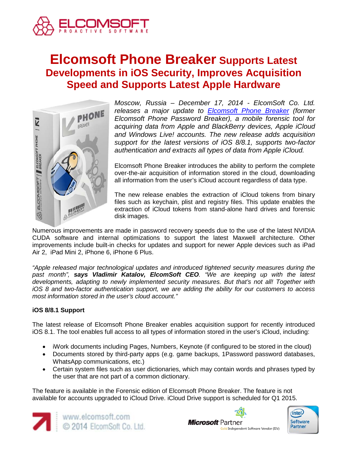

# **Elcomsoft Phone Breaker Supports Latest Developments in iOS Security, Improves Acquisition Speed and Supports Latest Apple Hardware**



*Moscow, Russia – December 17, 2014 - ElcomSoft Co. Ltd. releases a major update to [Elcomsoft Phone Breaker](http://www.elcomsoft.com/eppb.html) (former Elcomsoft Phone Password Breaker), a mobile forensic tool for acquiring data from Apple and BlackBerry devices, Apple iCloud and Windows Live! accounts. The new release adds acquisition support for the latest versions of iOS 8/8.1, supports two-factor authentication and extracts all types of data from Apple iCloud.*

Elcomsoft Phone Breaker introduces the ability to perform the complete over-the-air acquisition of information stored in the cloud, downloading all information from the user's iCloud account regardless of data type.

The new release enables the extraction of iCloud tokens from binary files such as keychain, plist and registry files. This update enables the extraction of iCloud tokens from stand-alone hard drives and forensic disk images.

Numerous improvements are made in password recovery speeds due to the use of the latest NVIDIA CUDA software and internal optimizations to support the latest Maxwell architecture. Other improvements include built-in checks for updates and support for newer Apple devices such as iPad Air 2, iPad Mini 2, iPhone 6, iPhone 6 Plus.

*"Apple released major technological updates and introduced tightened security measures during the past month", says Vladimir Katalov, ElcomSoft CEO. "We are keeping up with the latest developments, adapting to newly implemented security measures. But that's not all! Together with iOS 8 and two-factor authentication support, we are adding the ability for our customers to access most information stored in the user's cloud account."*

# **iOS 8/8.1 Support**

The latest release of Elcomsoft Phone Breaker enables acquisition support for recently introduced iOS 8.1. The tool enables full access to all types of information stored in the user's iCloud, including:

- iWork documents including Pages, Numbers, Keynote (if configured to be stored in the cloud)
- Documents stored by third-party apps (e.g. game backups, 1Password password databases, WhatsApp communications, etc.)
- Certain system files such as user dictionaries, which may contain words and phrases typed by the user that are not part of a common dictionary.

The feature is available in the Forensic edition of Elcomsoft Phone Breaker. The feature is not available for accounts upgraded to iCloud Drive. iCloud Drive support is scheduled for Q1 2015.





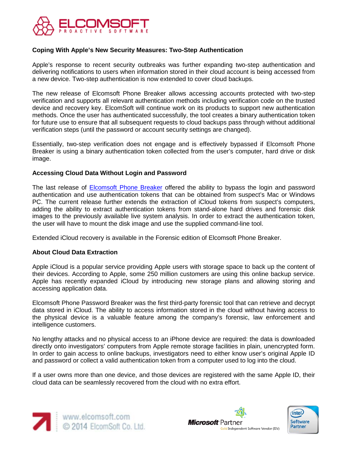

## **Coping With Apple's New Security Measures: Two-Step Authentication**

Apple's response to recent security outbreaks was further expanding two-step authentication and delivering notifications to users when information stored in their cloud account is being accessed from a new device. Two-step authentication is now extended to cover cloud backups.

The new release of Elcomsoft Phone Breaker allows accessing accounts protected with two-step verification and supports all relevant authentication methods including verification code on the trusted device and recovery key. ElcomSoft will continue work on its products to support new authentication methods. Once the user has authenticated successfully, the tool creates a binary authentication token for future use to ensure that all subsequent requests to cloud backups pass through without additional verification steps (until the password or account security settings are changed).

Essentially, two-step verification does not engage and is effectively bypassed if Elcomsoft Phone Breaker is using a binary authentication token collected from the user's computer, hard drive or disk image.

### **Accessing Cloud Data Without Login and Password**

The last release of **Elcomsoft Phone Breaker** offered the ability to bypass the login and password authentication and use authentication tokens that can be obtained from suspect's Mac or Windows PC. The current release further extends the extraction of iCloud tokens from suspect's computers, adding the ability to extract authentication tokens from stand-alone hard drives and forensic disk images to the previously available live system analysis. In order to extract the authentication token, the user will have to mount the disk image and use the supplied command-line tool.

Extended iCloud recovery is available in the Forensic edition of Elcomsoft Phone Breaker.

### **About Cloud Data Extraction**

Apple iCloud is a popular service providing Apple users with storage space to back up the content of their devices. According to Apple, some 250 million customers are using this online backup service. Apple has recently expanded iCloud by introducing new storage plans and allowing storing and accessing application data.

Elcomsoft Phone Password Breaker was the first third-party forensic tool that can retrieve and decrypt data stored in iCloud. The ability to access information stored in the cloud without having access to the physical device is a valuable feature among the company's forensic, law enforcement and intelligence customers.

No lengthy attacks and no physical access to an iPhone device are required: the data is downloaded directly onto investigators' computers from Apple remote storage facilities in plain, unencrypted form. In order to gain access to online backups, investigators need to either know user's original Apple ID and password or collect a valid authentication token from a computer used to log into the cloud.

If a user owns more than one device, and those devices are registered with the same Apple ID, their cloud data can be seamlessly recovered from the cloud with no extra effort.